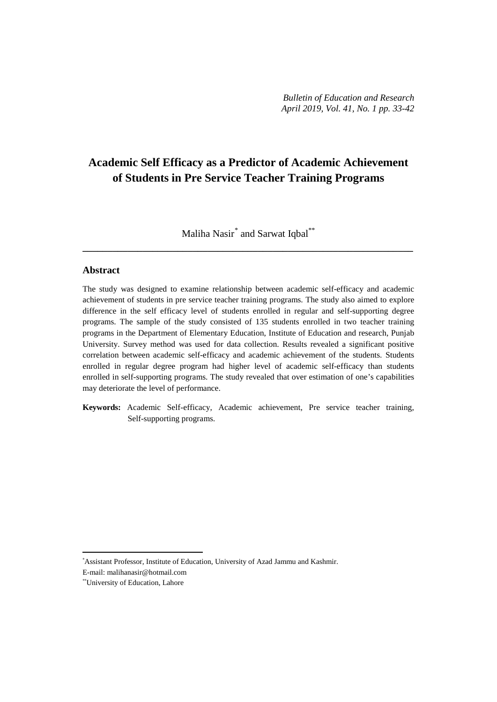# **Academic Self Efficacy as a Predictor of Academic Achievement of Students in Pre Service Teacher Training Programs**

Maliha Nasir<sup>[\\*](#page-0-0)</sup> and Sarwat Iqbal<sup>\*\*</sup> **\_\_\_\_\_\_\_\_\_\_\_\_\_\_\_\_\_\_\_\_\_\_\_\_\_\_\_\_\_\_\_\_\_\_\_\_\_\_\_\_\_\_\_\_\_\_\_\_\_\_\_\_\_\_\_\_\_\_\_\_\_\_\_\_\_\_**

# **Abstract**

The study was designed to examine relationship between academic self-efficacy and academic achievement of students in pre service teacher training programs. The study also aimed to explore difference in the self efficacy level of students enrolled in regular and self-supporting degree programs. The sample of the study consisted of 135 students enrolled in two teacher training programs in the Department of Elementary Education, Institute of Education and research, Punjab University. Survey method was used for data collection. Results revealed a significant positive correlation between academic self-efficacy and academic achievement of the students. Students enrolled in regular degree program had higher level of academic self-efficacy than students enrolled in self-supporting programs. The study revealed that over estimation of one's capabilities may deteriorate the level of performance.

**Keywords:** Academic Self-efficacy, Academic achievement, Pre service teacher training, Self-supporting programs.

<span id="page-0-0"></span>\* Assistant Professor, Institute of Education, University of Azad Jammu and Kashmir.

E-mail: malihanasir@hotmail.com

 $\overline{a}$ 

<sup>\*\*</sup>University of Education, Lahore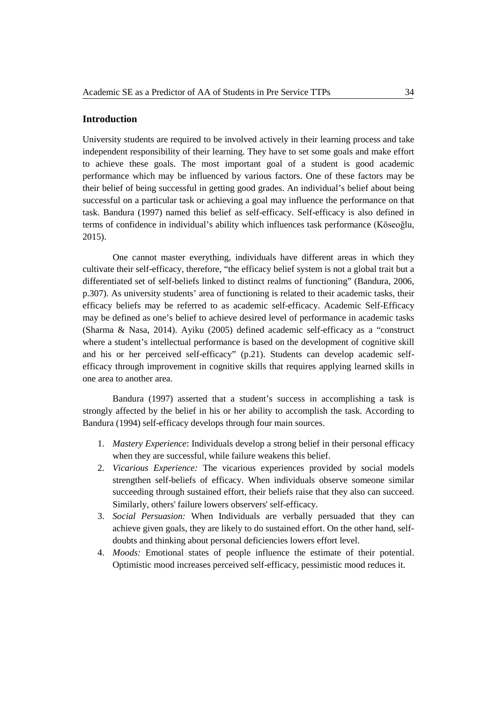## **Introduction**

University students are required to be involved actively in their learning process and take independent responsibility of their learning. They have to set some goals and make effort to achieve these goals. The most important goal of a student is good academic performance which may be influenced by various factors. One of these factors may be their belief of being successful in getting good grades. An individual's belief about being successful on a particular task or achieving a goal may influence the performance on that task. Bandura (1997) named this belief as self-efficacy. Self-efficacy is also defined in terms of confidence in individual's ability which influences task performance (Köseoğlu, 2015).

One cannot master everything, individuals have different areas in which they cultivate their self-efficacy, therefore, "the efficacy belief system is not a global trait but a differentiated set of self-beliefs linked to distinct realms of functioning" (Bandura, 2006, p.307). As university students' area of functioning is related to their academic tasks, their efficacy beliefs may be referred to as academic self-efficacy. Academic Self-Efficacy may be defined as one's belief to achieve desired level of performance in academic tasks (Sharma & Nasa, 2014). Ayiku (2005) defined academic self-efficacy as a "construct where a student's intellectual performance is based on the development of cognitive skill and his or her perceived self-efficacy" (p.21). Students can develop academic selfefficacy through improvement in cognitive skills that requires applying learned skills in one area to another area.

Bandura (1997) asserted that a student's success in accomplishing a task is strongly affected by the belief in his or her ability to accomplish the task. According to Bandura (1994) self-efficacy develops through four main sources.

- 1. *Mastery Experience*: Individuals develop a strong belief in their personal efficacy when they are successful, while failure weakens this belief.
- 2. *Vicarious Experience:* The vicarious experiences provided by social models strengthen self-beliefs of efficacy. When individuals observe someone similar succeeding through sustained effort, their beliefs raise that they also can succeed. Similarly, others' failure lowers observers' self-efficacy.
- 3. *Social Persuasion:* When Individuals are verbally persuaded that they can achieve given goals, they are likely to do sustained effort. On the other hand, selfdoubts and thinking about personal deficiencies lowers effort level.
- 4. *Moods:* Emotional states of people influence the estimate of their potential. Optimistic mood increases perceived self-efficacy, pessimistic mood reduces it.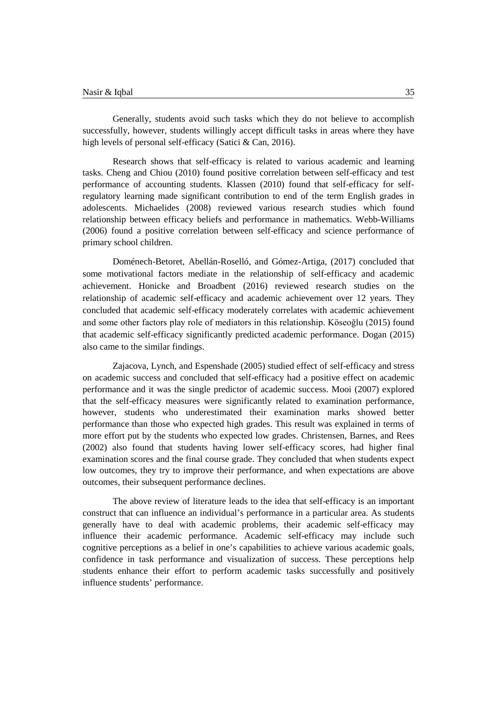Generally, students avoid such tasks which they do not believe to accomplish successfully, however, students willingly accept difficult tasks in areas where they have high levels of personal self-efficacy (Satici & Can, 2016).

Research shows that self-efficacy is related to various academic and learning tasks. Cheng and Chiou (2010) found positive correlation between self-efficacy and test performance of accounting students. Klassen (2010) found that self-efficacy for selfregulatory learning made significant contribution to end of the term English grades in adolescents. Michaelides (2008) reviewed various research studies which found relationship between efficacy beliefs and performance in mathematics. Webb-Williams (2006) found a positive correlation between self-efficacy and science performance of primary school children.

Doménech-Betoret, Abellán-Roselló, and Gómez-Artiga, (2017) concluded that some motivational factors mediate in the relationship of self-efficacy and academic achievement. Honicke and Broadbent (2016) reviewed research studies on the relationship of academic self-efficacy and academic achievement over 12 years. They concluded that academic self-efficacy moderately correlates with academic achievement and some other factors play role of mediators in this relationship. Köseoğlu (2015) found that academic self-efficacy significantly predicted academic performance. Dogan (2015) also came to the similar findings.

Zajacova, Lynch, and Espenshade (2005) studied effect of self-efficacy and stress on academic success and concluded that self-efficacy had a positive effect on academic performance and it was the single predictor of academic success. Mooi (2007) explored that the self-efficacy measures were significantly related to examination performance, however, students who underestimated their examination marks showed better performance than those who expected high grades. This result was explained in terms of more effort put by the students who expected low grades. Christensen, Barnes, and Rees (2002) also found that students having lower self*-*efficacy scores, had higher final examination scores and the final course grade. They concluded that when students expect low outcomes, they try to improve their performance, and when expectations are above outcomes, their subsequent performance declines.

The above review of literature leads to the idea that self-efficacy is an important construct that can influence an individual's performance in a particular area. As students generally have to deal with academic problems, their academic self-efficacy may influence their academic performance. Academic self-efficacy may include such cognitive perceptions as a belief in one's capabilities to achieve various academic goals, confidence in task performance and visualization of success. These perceptions help students enhance their effort to perform academic tasks successfully and positively influence students' performance.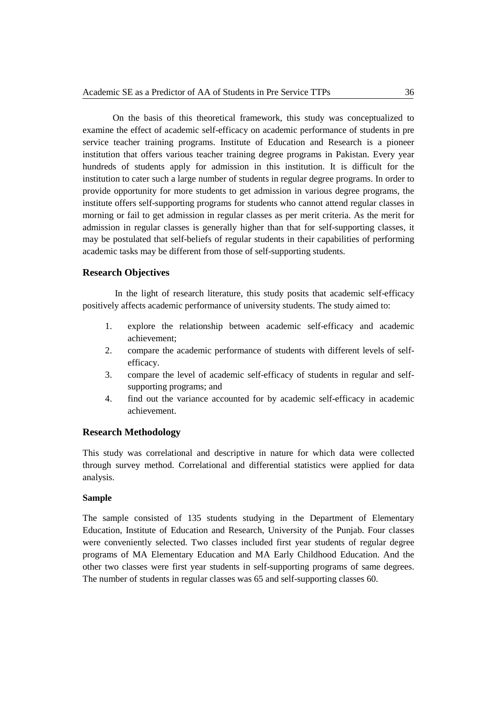On the basis of this theoretical framework, this study was conceptualized to examine the effect of academic self-efficacy on academic performance of students in pre service teacher training programs. Institute of Education and Research is a pioneer institution that offers various teacher training degree programs in Pakistan. Every year hundreds of students apply for admission in this institution. It is difficult for the institution to cater such a large number of students in regular degree programs. In order to provide opportunity for more students to get admission in various degree programs, the institute offers self-supporting programs for students who cannot attend regular classes in morning or fail to get admission in regular classes as per merit criteria. As the merit for admission in regular classes is generally higher than that for self-supporting classes, it may be postulated that self-beliefs of regular students in their capabilities of performing academic tasks may be different from those of self-supporting students.

## **Research Objectives**

In the light of research literature, this study posits that academic self-efficacy positively affects academic performance of university students. The study aimed to:

- 1. explore the relationship between academic self-efficacy and academic achievement;
- 2. compare the academic performance of students with different levels of selfefficacy.
- 3. compare the level of academic self-efficacy of students in regular and selfsupporting programs; and
- 4. find out the variance accounted for by academic self-efficacy in academic achievement.

## **Research Methodology**

This study was correlational and descriptive in nature for which data were collected through survey method. Correlational and differential statistics were applied for data analysis.

#### **Sample**

The sample consisted of 135 students studying in the Department of Elementary Education, Institute of Education and Research, University of the Punjab. Four classes were conveniently selected. Two classes included first year students of regular degree programs of MA Elementary Education and MA Early Childhood Education. And the other two classes were first year students in self-supporting programs of same degrees. The number of students in regular classes was 65 and self-supporting classes 60.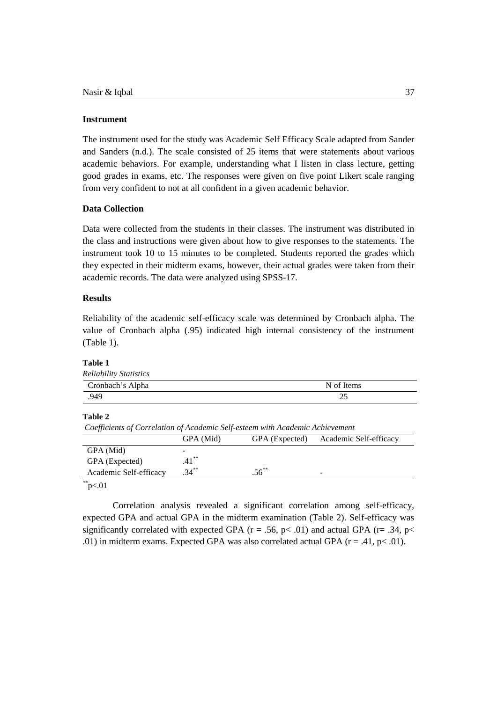#### **Instrument**

The instrument used for the study was Academic Self Efficacy Scale adapted from Sander and Sanders (n.d.). The scale consisted of 25 items that were statements about various academic behaviors. For example, understanding what I listen in class lecture, getting good grades in exams, etc. The responses were given on five point Likert scale ranging from very confident to not at all confident in a given academic behavior.

# **Data Collection**

Data were collected from the students in their classes. The instrument was distributed in the class and instructions were given about how to give responses to the statements. The instrument took 10 to 15 minutes to be completed. Students reported the grades which they expected in their midterm exams, however, their actual grades were taken from their academic records. The data were analyzed using SPSS-17.

## **Results**

Reliability of the academic self-efficacy scale was determined by Cronbach alpha. The value of Cronbach alpha (.95) indicated high internal consistency of the instrument (Table 1).

#### **Table 1**

| Cronbach's Alpha | N of Items |
|------------------|------------|
| .949             | 25         |

# **Table 2**

*Coefficients of Correlation of Academic Self-esteem with Academic Achievement*

|                        | GPA (Mid) | GPA (Expected) | Academic Self-efficacy |
|------------------------|-----------|----------------|------------------------|
| GPA (Mid)              |           |                |                        |
| GPA (Expected)         | $.41***$  |                |                        |
| Academic Self-efficacy | $.34***$  | $.56^{**}$     | -                      |

# $*$ \*p<.01

Correlation analysis revealed a significant correlation among self-efficacy, expected GPA and actual GPA in the midterm examination (Table 2). Self-efficacy was significantly correlated with expected GPA ( $r = .56$ ,  $p < .01$ ) and actual GPA ( $r = .34$ ,  $p <$ .01) in midterm exams. Expected GPA was also correlated actual GPA  $(r = .41, p < .01)$ .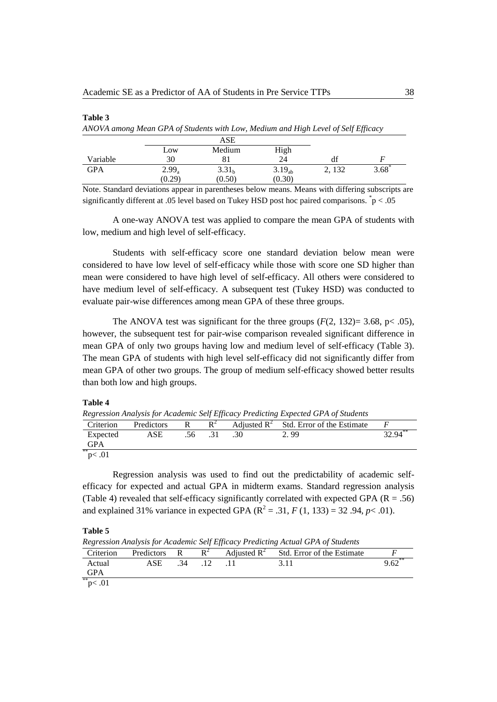|            |          | ANOVA among Mean GPA of Students with Low, Medium and High Level of Self Efficacy |                    |       |                  |
|------------|----------|-----------------------------------------------------------------------------------|--------------------|-------|------------------|
|            |          | ASE                                                                               |                    |       |                  |
|            | Low      | Medium                                                                            | High               |       |                  |
| Variable   | 30       |                                                                                   | 24                 | dt    |                  |
| <b>GPA</b> | $2.99_a$ | 3.31 <sub>h</sub>                                                                 | 3.19 <sub>ah</sub> | 2.132 | $3.68^{\degree}$ |
|            | (0.29)   | (0.50)                                                                            | (0.30)             |       |                  |

Note. Standard deviations appear in parentheses below means. Means with differing subscripts are significantly different at .05 level based on Tukey HSD post hoc paired comparisons.  $\dot{p}$  < .05

A one-way ANOVA test was applied to compare the mean GPA of students with low, medium and high level of self-efficacy.

Students with self-efficacy score one standard deviation below mean were considered to have low level of self-efficacy while those with score one SD higher than mean were considered to have high level of self-efficacy. All others were considered to have medium level of self-efficacy. A subsequent test (Tukey HSD) was conducted to evaluate pair-wise differences among mean GPA of these three groups.

The ANOVA test was significant for the three groups  $(F(2, 132)=3.68, p<.05)$ , however, the subsequent test for pair-wise comparison revealed significant difference in mean GPA of only two groups having low and medium level of self-efficacy (Table 3). The mean GPA of students with high level self-efficacy did not significantly differ from mean GPA of other two groups. The group of medium self-efficacy showed better results than both low and high groups.

#### **Table 4**

**Table 3**

*Regression Analysis for Academic Self Efficacy Predicting Expected GPA of Students* Criterion Predictors R  $R^2$  Adjusted  $R^2$  Std. Error of the Estimate *F* Expected ASE .56 .31 .30 2.99 3 Expected GPA ASE .56 .31 .30 2.99 32.94<sup>\*\*</sup>

 $p<.01$ 

Regression analysis was used to find out the predictability of academic selfefficacy for expected and actual GPA in midterm exams. Standard regression analysis (Table 4) revealed that self-efficacy significantly correlated with expected GPA ( $R = .56$ ) and explained 31% variance in expected GPA ( $R^2 = .31$ , *F* (1, 133) = 32 .94, *p*< .01).

**Table 5**

*Regression Analysis for Academic Self Efficacy Predicting Actual GPA of Students*

| Criterion  | Predictors R | $R^2$ | Adjusted $\mathbb{R}^2$ | Std. Error of the Estimate |      |
|------------|--------------|-------|-------------------------|----------------------------|------|
| Actual     | ASE          |       |                         |                            | 9.62 |
| <b>GPA</b> |              |       |                         |                            |      |
| **         |              |       |                         |                            |      |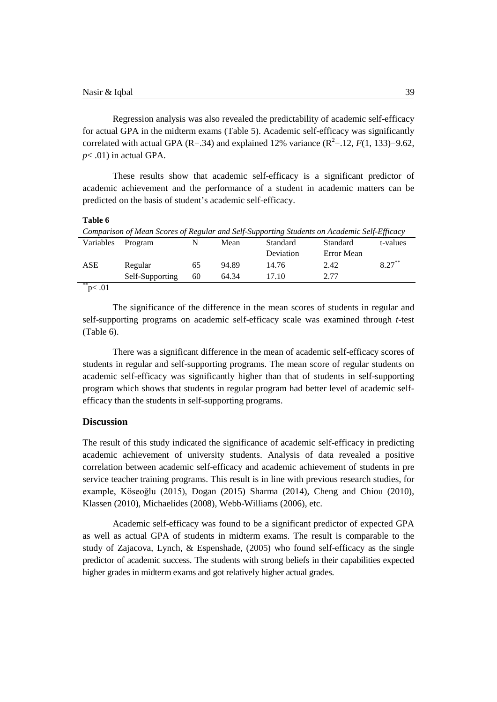Regression analysis was also revealed the predictability of academic self-efficacy for actual GPA in the midterm exams (Table 5). Academic self-efficacy was significantly correlated with actual GPA (R=.34) and explained 12% variance ( $R^2 = 12$ ,  $F(1, 133) = 9.62$ , *p*< .01) in actual GPA.

These results show that academic self-efficacy is a significant predictor of academic achievement and the performance of a student in academic matters can be predicted on the basis of student's academic self-efficacy.

#### **Table 6**

| Comparison of Mean Scores of Regular and Self-Supporting Students on Academic Self-Efficacy |                 |    |       |           |            |           |
|---------------------------------------------------------------------------------------------|-----------------|----|-------|-----------|------------|-----------|
| Variables                                                                                   | Program         |    | Mean  | Standard  | Standard   | t-values  |
|                                                                                             |                 |    |       | Deviation | Error Mean |           |
| ASE                                                                                         | Regular         | 65 | 94.89 | 14.76     | 2.42       | $8.27***$ |
|                                                                                             | Self-Supporting | 60 | 64.34 | 17.10     | 2.77       |           |
| p < .01                                                                                     |                 |    |       |           |            |           |

The significance of the difference in the mean scores of students in regular and self-supporting programs on academic self-efficacy scale was examined through *t*-test (Table 6).

There was a significant difference in the mean of academic self-efficacy scores of students in regular and self-supporting programs. The mean score of regular students on academic self-efficacy was significantly higher than that of students in self-supporting program which shows that students in regular program had better level of academic selfefficacy than the students in self-supporting programs.

## **Discussion**

The result of this study indicated the significance of academic self-efficacy in predicting academic achievement of university students. Analysis of data revealed a positive correlation between academic self-efficacy and academic achievement of students in pre service teacher training programs. This result is in line with previous research studies, for example, Köseoğlu (2015), Dogan (2015) Sharma (2014), Cheng and Chiou (2010), Klassen (2010), Michaelides (2008), Webb-Williams (2006), etc.

Academic self-efficacy was found to be a significant predictor of expected GPA as well as actual GPA of students in midterm exams. The result is comparable to the study of Zajacova, Lynch, & Espenshade, (2005) who found self-efficacy as the single predictor of academic success. The students with strong beliefs in their capabilities expected higher grades in midterm exams and got relatively higher actual grades.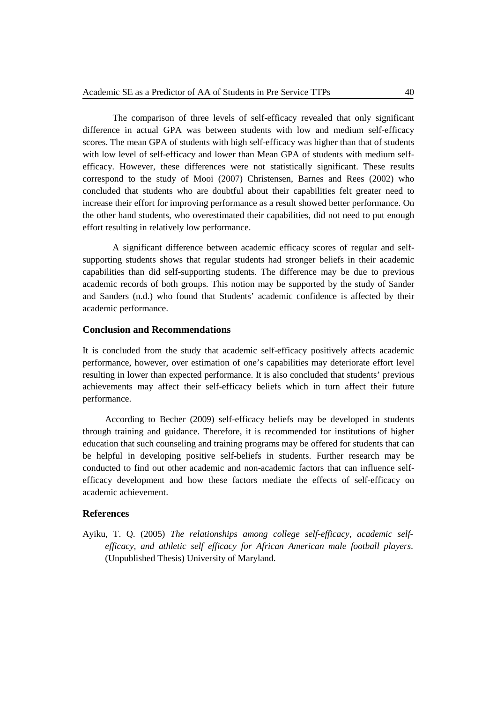The comparison of three levels of self-efficacy revealed that only significant difference in actual GPA was between students with low and medium self-efficacy scores. The mean GPA of students with high self-efficacy was higher than that of students with low level of self-efficacy and lower than Mean GPA of students with medium selfefficacy. However, these differences were not statistically significant. These results correspond to the study of Mooi (2007) Christensen, Barnes and Rees (2002) who concluded that students who are doubtful about their capabilities felt greater need to increase their effort for improving performance as a result showed better performance. On the other hand students, who overestimated their capabilities, did not need to put enough effort resulting in relatively low performance.

A significant difference between academic efficacy scores of regular and selfsupporting students shows that regular students had stronger beliefs in their academic capabilities than did self-supporting students. The difference may be due to previous academic records of both groups. This notion may be supported by the study of Sander and Sanders (n.d.) who found that Students' academic confidence is affected by their academic performance.

#### **Conclusion and Recommendations**

It is concluded from the study that academic self-efficacy positively affects academic performance, however, over estimation of one's capabilities may deteriorate effort level resulting in lower than expected performance. It is also concluded that students' previous achievements may affect their self-efficacy beliefs which in turn affect their future performance.

According to Becher (2009) self-efficacy beliefs may be developed in students through training and guidance. Therefore, it is recommended for institutions of higher education that such counseling and training programs may be offered for students that can be helpful in developing positive self-beliefs in students. Further research may be conducted to find out other academic and non-academic factors that can influence selfefficacy development and how these factors mediate the effects of self-efficacy on academic achievement.

#### **References**

Ayiku, T. Q. (2005) *The relationships among college self-efficacy, academic selfefficacy, and athletic self efficacy for African American male football players*. (Unpublished Thesis) University of Maryland.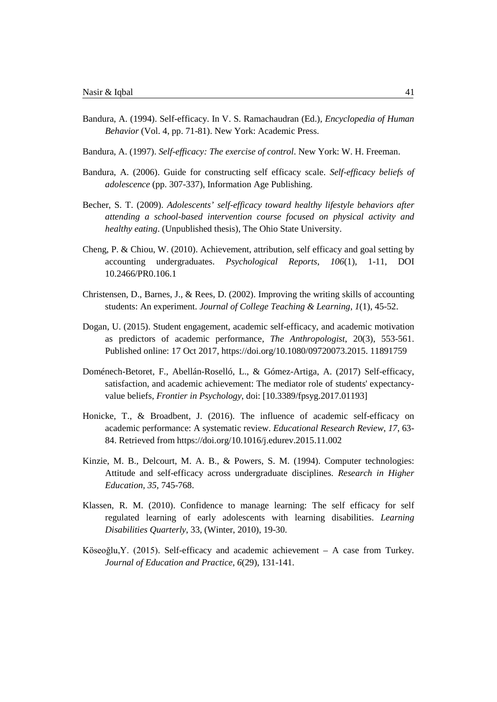- Bandura, A. (1994). Self-efficacy. In V. S. Ramachaudran (Ed.), *Encyclopedia of Human Behavior* (Vol. 4, pp. 71-81). New York: Academic Press.
- Bandura, A. (1997). *Self-efficacy: The exercise of control*. New York: W. H. Freeman.
- Bandura, A. (2006). Guide for constructing self efficacy scale. *Self-efficacy beliefs of adolescence* (pp. 307-337), Information Age Publishing.
- Becher, S. T. (2009). *Adolescents' self-efficacy toward healthy lifestyle behaviors after attending a school-based intervention course focused on physical activity and healthy eating*. (Unpublished thesis), The Ohio State University.
- Cheng, P. & Chiou, W. (2010). Achievement, attribution, self efficacy and goal setting by accounting undergraduates. *Psychological Reports*, *106*(1), 1-11, DOI 10.2466/PR0.106.1
- Christensen, D., Barnes, J., & Rees, D. (2002). Improving the writing skills of accounting students: An experiment. *Journal of College Teaching & Learning*, *1*(1), 45-52.
- Dogan, U. (2015). Student engagement, academic self-efficacy, and academic motivation as predictors of academic performance, *The Anthropologist*, 20(3), 553-561. Published online: 17 Oct 2017, [https://doi.org/10.1080/09720073.2015.](https://doi.org/10.1080/09720073.2015.11891759) 11891759
- Doménech-Betoret, F., Abellán-Roselló, L., & Gómez-Artiga, A. (2017) Self-efficacy, satisfaction, and academic achievement: The mediator role of students' expectancyvalue beliefs, *Frontier in Psychology*, doi: [\[10.3389/fpsyg.2017.01193\]](https://dx.doi.org/10.3389%2Ffpsyg.2017.01193)
- Honicke, T., & Broadbent, J. (2016). The influence of academic self-efficacy on academic performance: A systematic review. *[Educational Research Review](https://www.sciencedirect.com/science/journal/1747938X)*, *17*, 63- 84. Retrieved from<https://doi.org/10.1016/j.edurev.2015.11.002>
- Kinzie, M. B., Delcourt, M. A. B., & Powers, S. M. (1994). Computer technologies: Attitude and self-efficacy across undergraduate disciplines. *Research in Higher Education, 35,* 745-768.
- Klassen, R. M. (2010). Confidence to manage learning: The self efficacy for self regulated learning of early adolescents with learning disabilities. *Learning Disabilities Quarterly*, 33, (Winter, 2010), 19-30.
- Köseoğlu,Y. (2015). Self-efficacy and academic achievement A case from Turkey. *Journal of Education and Practice*, *6*(29), 131-141.